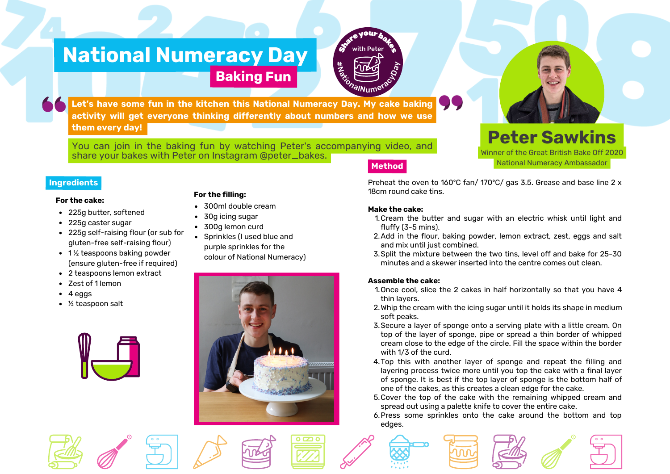# **National Numeracy Day**



**Let's have some fun in the kitchen this National Numeracy Day. My cake baking activity will get everyone thinking differently about numbers and how we use them every day!**

**Baking Fun**

**Method** You can join in the baking fun by watching Peter's accompanying video, and share your bakes with Peter on Instagram @peter\_bakes.

#### **Ingredients**

#### **For the cake:**

- 225g butter, softened
- 225g caster sugar
- 225g self-raising flour (or sub for gluten-free self-raising flour)
- $\cdot$  1% teaspoons baking powder (ensure gluten-free if required)
- 2 teaspoons lemon extract
- Zest of 1 lemon
- 4 eggs
- ½ teaspoon salt



#### **For the filling:**

- 300ml double cream
- 30g icing sugar
- 300g lemon curd
- Sprinkles (I used blue and purple sprinkles for the

colour of National Numeracy)



## Preheat the oven to 160ºC fan/ 170ºC/ gas 3.5. Grease and base line 2 x National Numeracy Ambassador

**Peter Sawkins** Winner of the Great British Bake Off 2020

#### **Make the cake:**

- Cream the butter and sugar with an electric whisk until light and 1. fluffy (3-5 mins).
- 2. Add in the flour, baking powder, lemon extract, zest, eggs and salt and mix until just combined.
- 3. Split the mixture between the two tins, level off and bake for 25-30 minutes and a skewer inserted into the centre comes out clean.

#### **Assemble the cake:**

- 1. Once cool, slice the 2 cakes in half horizontally so that you have 4 thin layers.
- 2. Whip the cream with the icing sugar until it holds its shape in medium soft peaks.
- Secure a layer of sponge onto a serving plate with a little cream. On 3. top of the layer of sponge, pipe or spread a thin border of whipped cream close to the edge of the circle. Fill the space within the border with 1/3 of the curd.
- 4. Top this with another layer of sponge and repeat the filling and layering process twice more until you top the cake with a final layer of sponge. It is best if the top layer of sponge is the bottom half of one of the cakes, as this creates a clean edge for the cake.
- 5. Cover the top of the cake with the remaining whipped cream and spread out using a palette knife to cover the entire cake.
- 6. Press some sprinkles onto the cake around the bottom and top edges.







18cm round cake tins.

- 
-